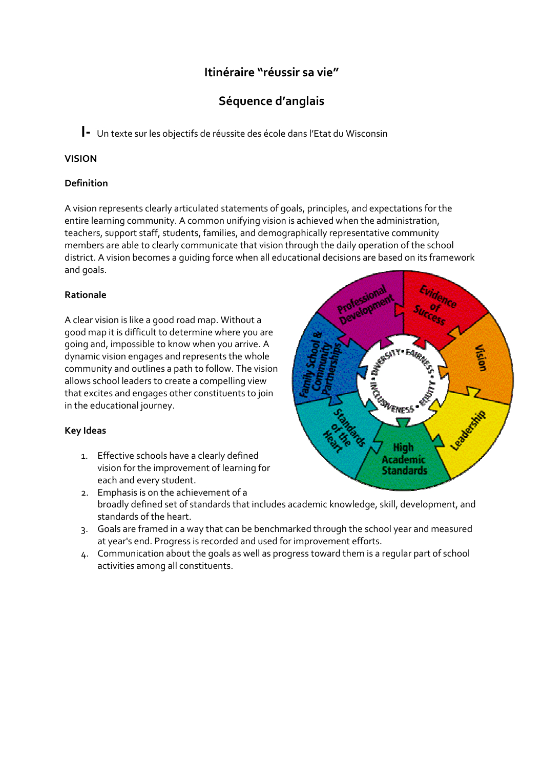# Itinéraire "réussir sa vie"

# Séquence d'anglais

I- Un texte sur les objectifs de réussite des école dans l'Etat du Wisconsin

### VISION

#### Definition

A vision represents clearly articulated statements of goals, principles, and expectations for the entire learning community. A common unifying vision is achieved when the administration, teachers, support staff, students, families, and demographically representative community members are able to clearly communicate that vision through the daily operation of the school district. A vision becomes a guiding force when all educational decisions are based on its framework and goals.

#### Rationale

A clear vision is like a good road map. Without a good map it is difficult to determine where you are going and, impossible to know when you arrive. A dynamic vision engages and represents the whole community and outlines a path to follow. The vision allows school leaders to create a compelling view that excites and engages other constituents to join in the educational journey.

#### Key Ideas

- 1. Effective schools have a clearly defined vision for the improvement of learning for each and every student.
- 2. Emphasis is on the achievement of a broadly defined set of standards that includes academic knowledge, skill, development, and standards of the heart.
- 3. Goals are framed in a way that can be benchmarked through the school year and measured at year's end. Progress is recorded and used for improvement efforts.
- 4. Communication about the goals as well as progress toward them is a regular part of school activities among all constituents.